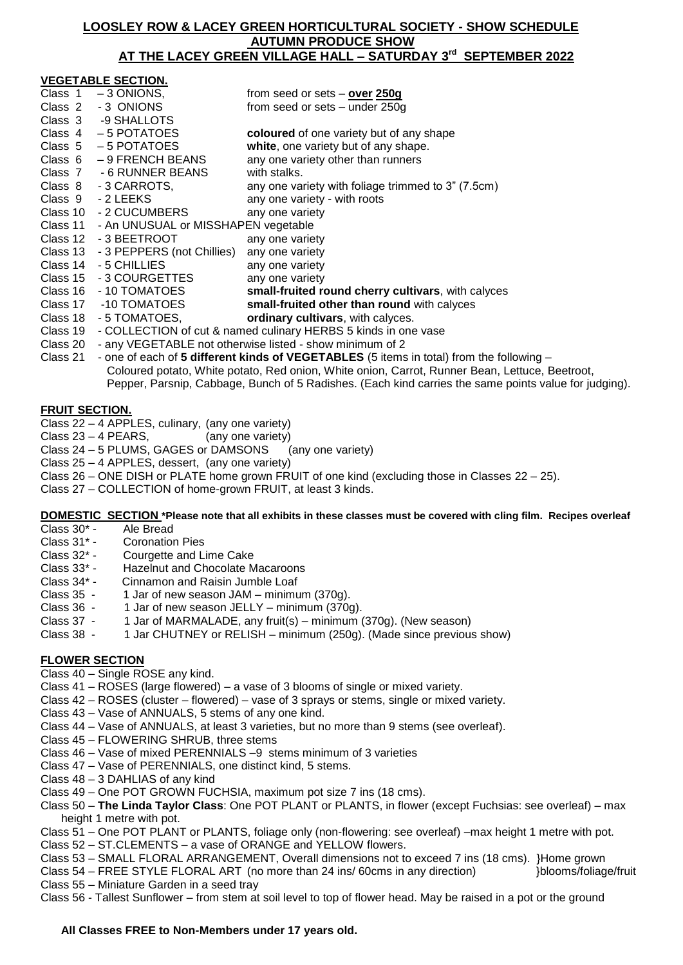## **LOOSLEY ROW & LACEY GREEN HORTICULTURAL SOCIETY - SHOW SCHEDULE AUTUMN PRODUCE SHOW AT THE LACEY GREEN VILLAGE HALL – SATURDAY 3 rd SEPTEMBER 2022**

| <b>VEGETABLE SECTION.</b>                                                                             |                                                                                          |                                                    |
|-------------------------------------------------------------------------------------------------------|------------------------------------------------------------------------------------------|----------------------------------------------------|
| Class 1                                                                                               | $-3$ ONIONS,                                                                             | from seed or sets $-$ over 250g                    |
| Class 2                                                                                               | -3 ONIONS                                                                                | from seed or sets - under 250g                     |
|                                                                                                       | Class 3 -9 SHALLOTS                                                                      |                                                    |
|                                                                                                       | Class 4 - 5 POTATOES                                                                     | coloured of one variety but of any shape           |
|                                                                                                       | Class $5 - 5$ POTATOES                                                                   | white, one variety but of any shape.               |
|                                                                                                       | Class $6 - 9$ FRENCH BEANS                                                               | any one variety other than runners                 |
|                                                                                                       | Class 7 - 6 RUNNER BEANS                                                                 | with stalks.                                       |
|                                                                                                       | Class 8 - 3 CARROTS,                                                                     | any one variety with foliage trimmed to 3" (7.5cm) |
|                                                                                                       | Class 9 - 2 LEEKS                                                                        | any one variety - with roots                       |
|                                                                                                       | Class 10 - 2 CUCUMBERS                                                                   | any one variety                                    |
|                                                                                                       | Class 11 - An UNUSUAL or MISSHAPEN vegetable                                             |                                                    |
|                                                                                                       | Class 12 - 3 BEETROOT                                                                    | any one variety                                    |
|                                                                                                       | Class 13 - 3 PEPPERS (not Chillies)                                                      | any one variety                                    |
|                                                                                                       | Class 14 - 5 CHILLIES                                                                    | any one variety                                    |
|                                                                                                       | Class 15 - 3 COURGETTES                                                                  | any one variety                                    |
|                                                                                                       | Class 16 - 10 TOMATOES                                                                   | small-fruited round cherry cultivars, with calyces |
| Class 17                                                                                              | -10 TOMATOES                                                                             | small-fruited other than round with calyces        |
| Class 18                                                                                              | - 5 TOMATOES,                                                                            | ordinary cultivars, with calyces.                  |
| Class 19                                                                                              | - COLLECTION of cut & named culinary HERBS 5 kinds in one vase                           |                                                    |
| Class 20                                                                                              | - any VEGETABLE not otherwise listed - show minimum of 2                                 |                                                    |
| Class 21                                                                                              | - one of each of 5 different kinds of VEGETABLES (5 items in total) from the following - |                                                    |
| Coloured potato, White potato, Red onion, White onion, Carrot, Runner Bean, Lettuce, Beetroot,        |                                                                                          |                                                    |
| Pepper, Parsnip, Cabbage, Bunch of 5 Radishes. (Each kind carries the same points value for judging). |                                                                                          |                                                    |

# **FRUIT SECTION.**

Class 22 – 4 APPLES, culinary, (any one variety)

Class 23 – 4 PEARS, (any one variety)

Class 24 – 5 PLUMS, GAGES or DAMSONS (any one variety)

- Class 25 4 APPLES, dessert, (any one variety)
- Class 26 ONE DISH or PLATE home grown FRUIT of one kind (excluding those in Classes 22 25).

Class 27 – COLLECTION of home-grown FRUIT, at least 3 kinds.

### **DOMESTIC SECTION \*Please note that all exhibits in these classes must be covered with cling film. Recipes overleaf**

- Class 30\* Ale Bread
- Class 31\* Coronation Pies
- Class 32\* Courgette and Lime Cake
- Class 33<sup>\*</sup> Hazelnut and Chocolate Macaroons<br>Class 34<sup>\*</sup> Cinnamon and Raisin Jumble Loaf
- Cinnamon and Raisin Jumble Loaf
- Class 35 1 Jar of new season JAM minimum (370g).
- Class 36 1 Jar of new season JELLY minimum (370g).
- Class 37 1 Jar of MARMALADE, any fruit(s) minimum (370g). (New season)
- Class 38 1 Jar CHUTNEY or RELISH minimum (250g). (Made since previous show)

# **FLOWER SECTION**

Class 40 – Single ROSE any kind.

- Class 41 ROSES (large flowered) a vase of 3 blooms of single or mixed variety.
- Class 42 ROSES (cluster flowered) vase of 3 sprays or stems, single or mixed variety.
- Class 43 Vase of ANNUALS, 5 stems of any one kind.
- Class 44 Vase of ANNUALS, at least 3 varieties, but no more than 9 stems (see overleaf).
- Class 45 FLOWERING SHRUB, three stems
- Class 46 Vase of mixed PERENNIALS –9 stems minimum of 3 varieties
- Class 47 Vase of PERENNIALS, one distinct kind, 5 stems.
- Class 48 3 DAHLIAS of any kind
- Class 49 One POT GROWN FUCHSIA, maximum pot size 7 ins (18 cms).
- Class 50 **The Linda Taylor Class**: One POT PLANT or PLANTS, in flower (except Fuchsias: see overleaf) max height 1 metre with pot.
- Class 51 One POT PLANT or PLANTS, foliage only (non-flowering: see overleaf) –max height 1 metre with pot.
- Class 52 ST.CLEMENTS a vase of ORANGE and YELLOW flowers.
- Class 53 SMALL FLORAL ARRANGEMENT, Overall dimensions not to exceed 7 ins (18 cms). }Home grown
- Class 54 FREE STYLE FLORAL ART (no more than 24 ins/ 60cms in any direction) blooms/foliage/fruit Class 55 – Miniature Garden in a seed tray
- Class 56 Tallest Sunflower from stem at soil level to top of flower head. May be raised in a pot or the ground

# **All Classes FREE to Non-Members under 17 years old.**